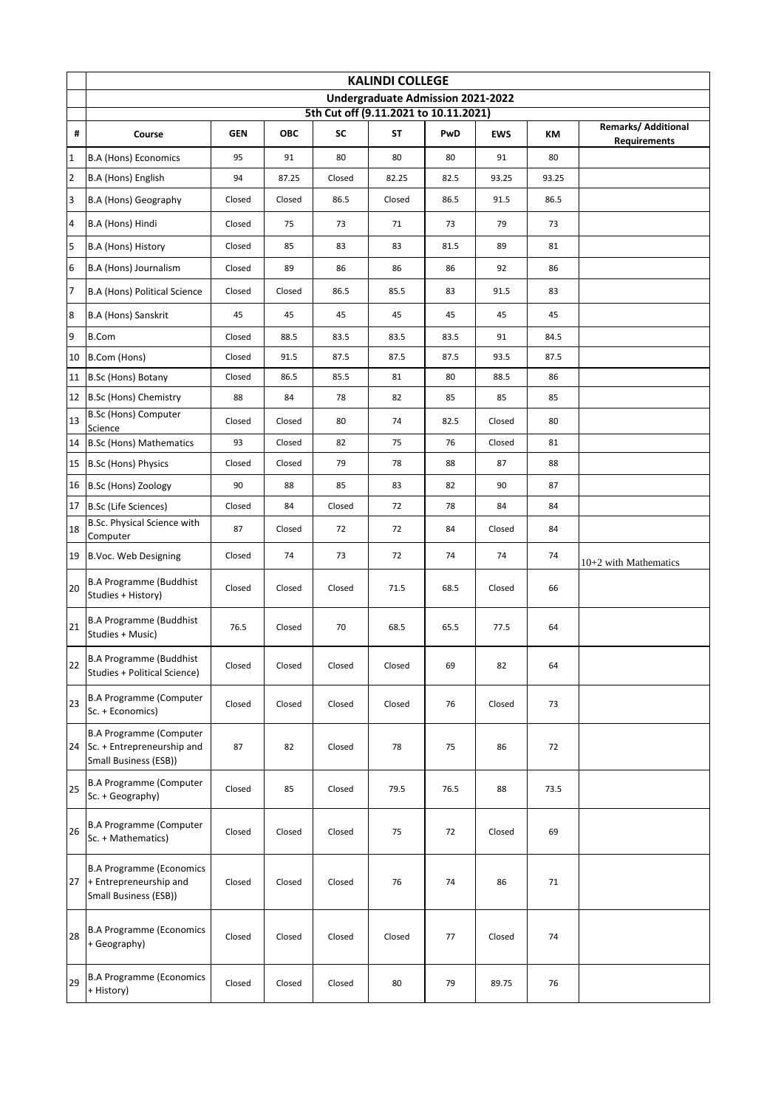|                         | <b>KALINDI COLLEGE</b>                                                                   |            |            |        |        |      |            |       |                                                   |  |  |
|-------------------------|------------------------------------------------------------------------------------------|------------|------------|--------|--------|------|------------|-------|---------------------------------------------------|--|--|
|                         | Undergraduate Admission 2021-2022<br>5th Cut off (9.11.2021 to 10.11.2021)               |            |            |        |        |      |            |       |                                                   |  |  |
| #                       | Course                                                                                   | <b>GEN</b> | <b>OBC</b> | SC     | ST     | PwD  | <b>EWS</b> | КM    | <b>Remarks/ Additional</b><br><b>Requirements</b> |  |  |
| $\mathbf{1}$            | <b>B.A (Hons) Economics</b>                                                              | 95         | 91         | 80     | 80     | 80   | 91         | 80    |                                                   |  |  |
| $\overline{2}$          | B.A (Hons) English                                                                       | 94         | 87.25      | Closed | 82.25  | 82.5 | 93.25      | 93.25 |                                                   |  |  |
| $\overline{\mathbf{3}}$ | <b>B.A (Hons) Geography</b>                                                              | Closed     | Closed     | 86.5   | Closed | 86.5 | 91.5       | 86.5  |                                                   |  |  |
| $\overline{4}$          | B.A (Hons) Hindi                                                                         | Closed     | 75         | 73     | 71     | 73   | 79         | 73    |                                                   |  |  |
| 5                       | B.A (Hons) History                                                                       | Closed     | 85         | 83     | 83     | 81.5 | 89         | 81    |                                                   |  |  |
| 6                       | B.A (Hons) Journalism                                                                    | Closed     | 89         | 86     | 86     | 86   | 92         | 86    |                                                   |  |  |
| $\overline{7}$          | B.A (Hons) Political Science                                                             | Closed     | Closed     | 86.5   | 85.5   | 83   | 91.5       | 83    |                                                   |  |  |
| $\boldsymbol{8}$        | B.A (Hons) Sanskrit                                                                      | 45         | 45         | 45     | 45     | 45   | 45         | 45    |                                                   |  |  |
| 9                       | <b>B.Com</b>                                                                             | Closed     | 88.5       | 83.5   | 83.5   | 83.5 | 91         | 84.5  |                                                   |  |  |
| 10                      | B.Com (Hons)                                                                             | Closed     | 91.5       | 87.5   | 87.5   | 87.5 | 93.5       | 87.5  |                                                   |  |  |
| 11                      | B.Sc (Hons) Botany                                                                       | Closed     | 86.5       | 85.5   | 81     | 80   | 88.5       | 86    |                                                   |  |  |
|                         | 12 B.Sc (Hons) Chemistry                                                                 | 88         | 84         | 78     | 82     | 85   | 85         | 85    |                                                   |  |  |
| 13                      | B.Sc (Hons) Computer<br>Science                                                          | Closed     | Closed     | 80     | 74     | 82.5 | Closed     | 80    |                                                   |  |  |
| 14                      | <b>B.Sc (Hons) Mathematics</b>                                                           | 93         | Closed     | 82     | 75     | 76   | Closed     | 81    |                                                   |  |  |
| 15                      | B.Sc (Hons) Physics                                                                      | Closed     | Closed     | 79     | 78     | 88   | 87         | 88    |                                                   |  |  |
|                         | 16 B.Sc (Hons) Zoology                                                                   | 90         | 88         | 85     | 83     | 82   | 90         | 87    |                                                   |  |  |
|                         | 17 B.Sc (Life Sciences)                                                                  | Closed     | 84         | Closed | 72     | 78   | 84         | 84    |                                                   |  |  |
| 18                      | B.Sc. Physical Science with<br>Computer                                                  | 87         | Closed     | 72     | 72     | 84   | Closed     | 84    |                                                   |  |  |
| 19                      | B.Voc. Web Designing                                                                     | Closed     | 74         | 73     | 72     | 74   | 74         | 74    | $10+2$ with Mathematics                           |  |  |
| 20                      | <b>B.A Programme (Buddhist</b><br>Studies + History)                                     | Closed     | Closed     | Closed | 71.5   | 68.5 | Closed     | 66    |                                                   |  |  |
| 21                      | <b>B.A Programme (Buddhist</b><br>Studies + Music)                                       | 76.5       | Closed     | 70     | 68.5   | 65.5 | 77.5       | 64    |                                                   |  |  |
| 22                      | <b>B.A Programme (Buddhist</b><br>Studies + Political Science)                           | Closed     | Closed     | Closed | Closed | 69   | 82         | 64    |                                                   |  |  |
| 23                      | <b>B.A Programme (Computer</b><br>Sc. + Economics)                                       | Closed     | Closed     | Closed | Closed | 76   | Closed     | 73    |                                                   |  |  |
|                         | <b>B.A Programme (Computer</b><br>24 Sc. + Entrepreneurship and<br>Small Business (ESB)) | 87         | 82         | Closed | 78     | 75   | 86         | 72    |                                                   |  |  |
| 25                      | <b>B.A Programme (Computer</b><br>Sc. + Geography)                                       | Closed     | 85         | Closed | 79.5   | 76.5 | 88         | 73.5  |                                                   |  |  |
| 26                      | <b>B.A Programme (Computer</b><br>Sc. + Mathematics)                                     | Closed     | Closed     | Closed | 75     | 72   | Closed     | 69    |                                                   |  |  |
|                         | <b>B.A Programme (Economics</b><br>27 + Entrepreneurship and<br>Small Business (ESB))    | Closed     | Closed     | Closed | 76     | 74   | 86         | 71    |                                                   |  |  |
| 28                      | <b>B.A Programme (Economics</b><br>+ Geography)                                          | Closed     | Closed     | Closed | Closed | 77   | Closed     | 74    |                                                   |  |  |
| 29                      | <b>B.A Programme (Economics</b><br>+ History)                                            | Closed     | Closed     | Closed | 80     | 79   | 89.75      | 76    |                                                   |  |  |